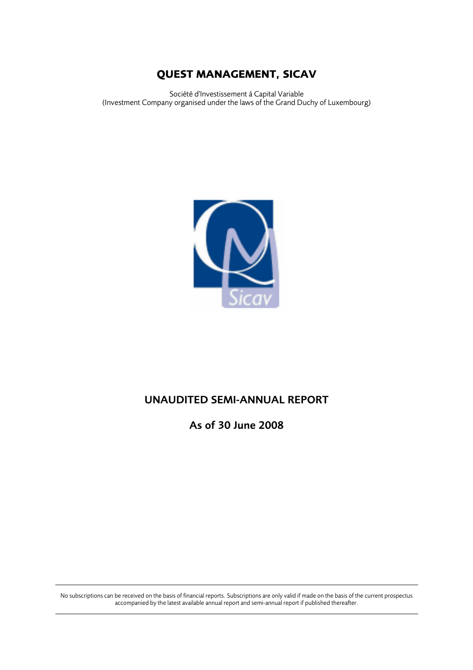Société d'Investissement à Capital Variable (Investment Company organised under the laws of the Grand Duchy of Luxembourg)



# UNAUDITED SEMI-ANNUAL REPORT

As of 30 June 2008

No subscriptions can be received on the basis of financial reports. Subscriptions are only valid if made on the basis of the current prospectus accompanied by the latest available annual report and semi-annual report if published thereafter.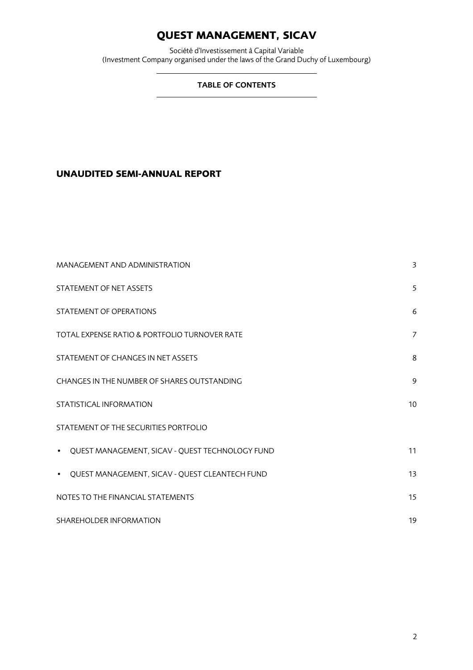Société d'Investissement à Capital Variable (Investment Company organised under the laws of the Grand Duchy of Luxembourg)

# TABLE OF CONTENTS

# **UNAUDITED SEMI-ANNUAL REPORT**

| MANAGEMENT AND ADMINISTRATION                               | 3                |
|-------------------------------------------------------------|------------------|
| STATEMENT OF NET ASSETS                                     | 5                |
| STATEMENT OF OPERATIONS                                     | 6                |
| TOTAL EXPENSE RATIO & PORTFOLIO TURNOVER RATE               | 7                |
| STATEMENT OF CHANGES IN NET ASSETS                          | 8                |
| CHANGES IN THE NUMBER OF SHARES OUTSTANDING                 | 9                |
| STATISTICAL INFORMATION                                     | 10 <sup>10</sup> |
| STATEMENT OF THE SECURITIES PORTFOLIO                       |                  |
| • QUEST MANAGEMENT, SICAV - QUEST TECHNOLOGY FUND           | 11               |
| QUEST MANAGEMENT, SICAV - QUEST CLEANTECH FUND<br>$\bullet$ | 13               |
| NOTES TO THE FINANCIAL STATEMENTS                           | 15               |
| SHAREHOLDER INFORMATION                                     | 19               |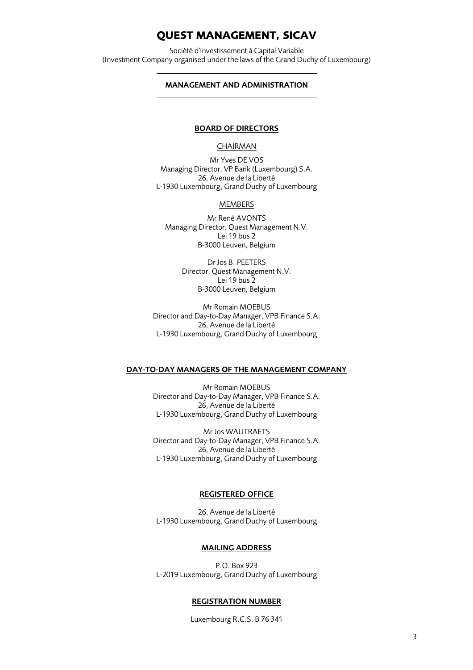Société d'Investissement à Capital Variable (Investment Company organised under the laws of the Grand Duchy of Luxembourg)

### MANAGEMENT AND ADMINISTRATION

### BOARD OF DIRECTORS

### CHAIRMAN

Mr Yves DE VOS Managing Director, VP Bank (Luxembourg) S.A. 26, Avenue de la Liberté L-1930 Luxembourg, Grand Duchy of Luxembourg

#### MEMBERS

Mr René AVONTS Managing Director, Quest Management N.V. Lei 19 bus 2 B-3000 Leuven, Belgium

> Dr Jos B. PEETERS Director, Quest Management N.V. Lei 19 bus 2 B-3000 Leuven, Belgium

Mr Romain MOEBUS Director and Day-to-Day Manager, VPB Finance S.A. 26, Avenue de la Liberté L-1930 Luxembourg, Grand Duchy of Luxembourg

### DAY-TO-DAY MANAGERS OF THE MANAGEMENT COMPANY

Mr Romain MOEBUS Director and Day-to-Day Manager, VPB Finance S.A. 26, Avenue de la Liberté L-1930 Luxembourg, Grand Duchy of Luxembourg

Mr Jos WAUTRAETS Director and Day-to-Day Manager, VPB Finance S.A. 26, Avenue de la Liberté L-1930 Luxembourg, Grand Duchy of Luxembourg

# REGISTERED OFFICE

26, Avenue de la Liberté L-1930 Luxembourg, Grand Duchy of Luxembourg

#### MAILING ADDRESS

P.O. Box 923 L-2019 Luxembourg, Grand Duchy of Luxembourg

#### REGISTRATION NUMBER

Luxembourg R.C.S. B 76 341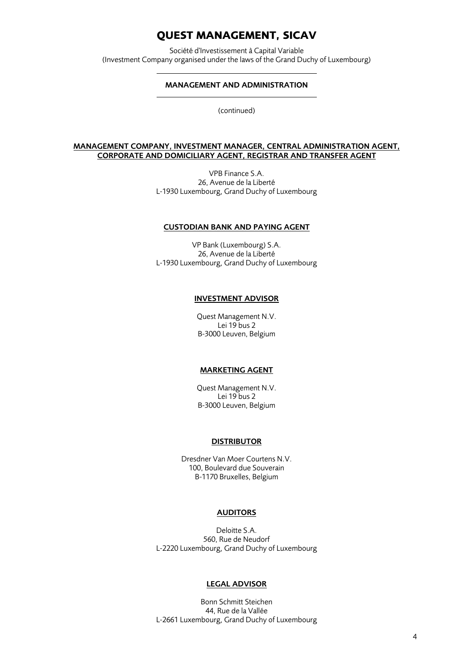Société d'Investissement à Capital Variable (Investment Company organised under the laws of the Grand Duchy of Luxembourg)

### MANAGEMENT AND ADMINISTRATION

(continued)

#### MANAGEMENT COMPANY, INVESTMENT MANAGER, CENTRAL ADMINISTRATION AGENT, CORPORATE AND DOMICILIARY AGENT, REGISTRAR AND TRANSFER AGENT

VPB Finance S.A. 26, Avenue de la Liberté L-1930 Luxembourg, Grand Duchy of Luxembourg

#### CUSTODIAN BANK AND PAYING AGENT

VP Bank (Luxembourg) S.A. 26, Avenue de la Liberté L-1930 Luxembourg, Grand Duchy of Luxembourg

#### INVESTMENT ADVISOR

Quest Management N.V. Lei 19 bus 2 B-3000 Leuven, Belgium

#### MARKETING AGENT

Quest Management N.V. Lei 19 bus 2 B-3000 Leuven, Belgium

#### DISTRIBUTOR

Dresdner Van Moer Courtens N.V. 100, Boulevard due Souverain B-1170 Bruxelles, Belgium

## AUDITORS

Deloitte S.A. 560, Rue de Neudorf L-2220 Luxembourg, Grand Duchy of Luxembourg

### LEGAL ADVISOR

Bonn Schmitt Steichen 44, Rue de la Vallée L-2661 Luxembourg, Grand Duchy of Luxembourg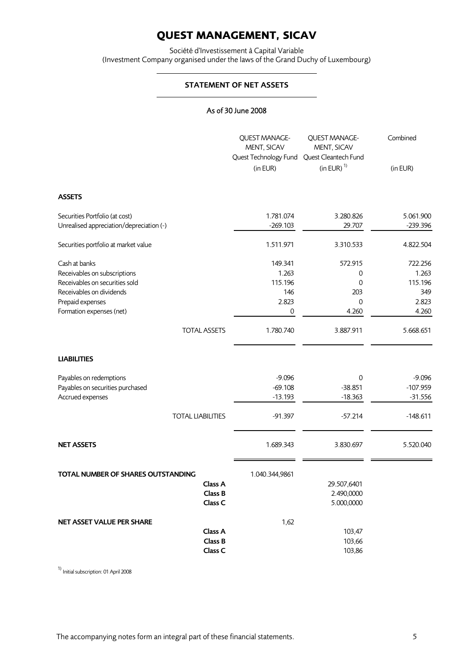Société d'Investissement à Capital Variable (Investment Company organised under the laws of the Grand Duchy of Luxembourg)

## STATEMENT OF NET ASSETS

## As of 30 June 2008

|                                          | <b>QUEST MANAGE-</b><br>MENT, SICAV<br>Quest Technology Fund<br>(in EUR) | QUEST MANAGE-<br>MENT, SICAV<br>Quest Cleantech Fund<br>(in EUR) $1$ | Combined<br>(in EUR) |
|------------------------------------------|--------------------------------------------------------------------------|----------------------------------------------------------------------|----------------------|
| <b>ASSETS</b>                            |                                                                          |                                                                      |                      |
| Securities Portfolio (at cost)           | 1.781.074                                                                | 3.280.826                                                            | 5.061.900            |
| Unrealised appreciation/depreciation (-) | $-269.103$                                                               | 29.707                                                               | $-239.396$           |
| Securities portfolio at market value     | 1.511.971                                                                | 3.310.533                                                            | 4.822.504            |
| Cash at banks                            | 149.341                                                                  | 572.915                                                              | 722.256              |
| Receivables on subscriptions             | 1.263                                                                    | $\mathbf 0$                                                          | 1.263                |
| Receivables on securities sold           | 115.196                                                                  | $\mathbf 0$                                                          | 115.196              |
| Receivables on dividends                 | 146                                                                      | 203                                                                  | 349                  |
| Prepaid expenses                         | 2.823                                                                    | $\mathbf 0$                                                          | 2.823                |
| Formation expenses (net)                 | 0                                                                        | 4.260                                                                | 4.260                |
| <b>TOTAL ASSETS</b>                      | 1.780.740                                                                | 3.887.911                                                            | 5.668.651            |
| <b>LIABILITIES</b>                       |                                                                          |                                                                      |                      |
| Payables on redemptions                  | $-9.096$                                                                 | $\mathbf 0$                                                          | $-9.096$             |
| Payables on securities purchased         | $-69.108$                                                                | $-38.851$                                                            | $-107.959$           |
| Accrued expenses                         | $-13.193$                                                                | $-18.363$                                                            | $-31.556$            |
| <b>TOTAL LIABILITIES</b>                 | $-91.397$                                                                | $-57.214$                                                            | $-148.611$           |
|                                          |                                                                          |                                                                      |                      |
| <b>NET ASSETS</b>                        | 1.689.343                                                                | 3.830.697                                                            | 5.520.040            |
| TOTAL NUMBER OF SHARES OUTSTANDING       | 1.040.344,9861                                                           |                                                                      |                      |
| Class A                                  |                                                                          | 29.507,6401                                                          |                      |
| Class B                                  |                                                                          | 2.490,0000                                                           |                      |
| Class C                                  |                                                                          | 5.000,0000                                                           |                      |
| NET ASSET VALUE PER SHARE                | 1,62                                                                     |                                                                      |                      |
| Class A                                  |                                                                          | 103,47                                                               |                      |
| Class B                                  |                                                                          | 103,66                                                               |                      |
| Class C                                  |                                                                          | 103,86                                                               |                      |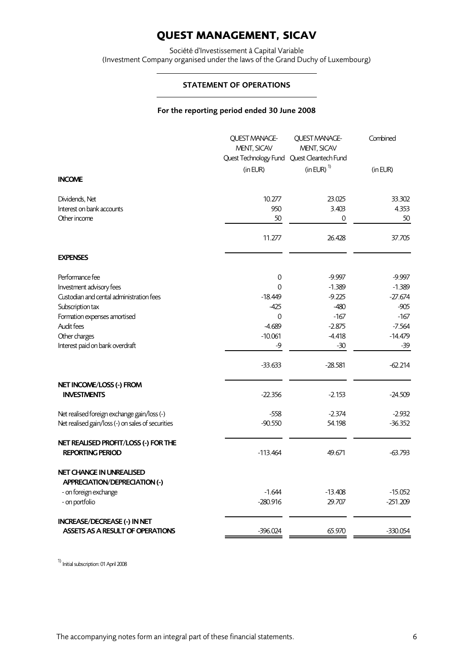Société d'Investissement à Capital Variable (Investment Company organised under the laws of the Grand Duchy of Luxembourg)

### STATEMENT OF OPERATIONS

## For the reporting period ended 30 June 2008

|                                                                         | QUEST MANAGE-<br>MENT, SICAV<br>Quest Technology Fund Quest Cleantech Fund | QUEST MANAGE-<br>MENT, SICAV | Combined   |
|-------------------------------------------------------------------------|----------------------------------------------------------------------------|------------------------------|------------|
|                                                                         | (in EUR)                                                                   | $(in EUR)^ 1$                | (in EUR)   |
| <b>INCOME</b>                                                           |                                                                            |                              |            |
| Dividends, Net                                                          | 10.277                                                                     | 23.025                       | 33.302     |
| Interest on bank accounts                                               | 950                                                                        | 3.403                        | 4.353      |
| Other income                                                            | 50                                                                         | 0                            | 50         |
|                                                                         | 11.277                                                                     | 26.428                       | 37.705     |
| <b>EXPENSES</b>                                                         |                                                                            |                              |            |
| Performance fee                                                         | $\mathsf{O}\xspace$                                                        | $-9.997$                     | $-9.997$   |
| Investment advisory fees                                                | $\Omega$                                                                   | $-1.389$                     | $-1.389$   |
| Custodian and cental administration fees                                | $-18.449$                                                                  | $-9.225$                     | $-27.674$  |
| Subscription tax                                                        | -425                                                                       | $-480$                       | $-905$     |
| Formation expenses amortised                                            | 0                                                                          | $-167$                       | $-167$     |
| Audit fees                                                              | $-4.689$                                                                   | $-2.875$                     | $-7.564$   |
| Other charges<br>Interest paid on bank overdraft                        | $-10.061$<br>-9                                                            | $-4.418$<br>$-30$            | $-14.479$  |
|                                                                         |                                                                            |                              | -39        |
|                                                                         | $-33.633$                                                                  | $-28.581$                    | $-62.214$  |
| NET INCOME/LOSS (-) FROM                                                |                                                                            |                              |            |
| <b>INVESTMENTS</b>                                                      | $-22.356$                                                                  | $-2.153$                     | $-24.509$  |
| Net realised foreign exchange gain/loss (-)                             | $-558$                                                                     | $-2.374$                     | $-2.932$   |
| Net realised gain/loss (-) on sales of securities                       | $-90.550$                                                                  | 54.198                       | $-36.352$  |
| NET REALISED PROFIT/LOSS (-) FOR THE                                    |                                                                            |                              |            |
| <b>REPORTING PERIOD</b>                                                 | $-113.464$                                                                 | 49.671                       | $-63.793$  |
| <b>NET CHANGE IN UNREALISED</b><br><b>APPRECIATION/DEPRECIATION (-)</b> |                                                                            |                              |            |
| - on foreign exchange                                                   | $-1.644$                                                                   | $-13.408$                    | $-15.052$  |
| - on portfolio                                                          | $-280.916$                                                                 | 29.707                       | $-251.209$ |
| <b>INCREASE/DECREASE (-) IN NET</b>                                     |                                                                            |                              |            |
| <b>ASSETS AS A RESULT OF OPERATIONS</b>                                 | $-396.024$                                                                 | 65.970                       | $-330.054$ |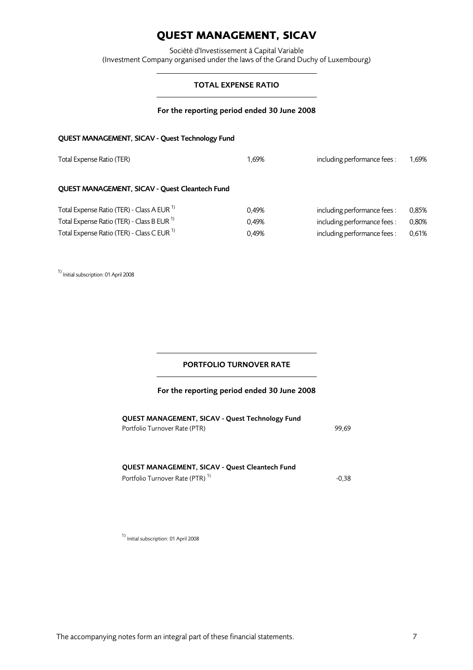Société d'Investissement à Capital Variable (Investment Company organised under the laws of the Grand Duchy of Luxembourg)

## TOTAL EXPENSE RATIO

## For the reporting period ended 30 June 2008

## QUEST MANAGEMENT, SICAV - Quest Technology Fund

| Total Expense Ratio (TER)                             | 1.69% | including performance fees: | 1,69% |
|-------------------------------------------------------|-------|-----------------------------|-------|
| QUEST MANAGEMENT, SICAV - Quest Cleantech Fund        |       |                             |       |
| Total Expense Ratio (TER) - Class A EUR <sup>1)</sup> | 0.49% | including performance fees: | 0.85% |
| Total Expense Ratio (TER) - Class B EUR <sup>1)</sup> | 0.49% | including performance fees: | 0,80% |
| Total Expense Ratio (TER) - Class C EUR <sup>1)</sup> | 0.49% | including performance fees: | 0,61% |

1) Initial subscription: 01 April 2008

# PORTFOLIO TURNOVER RATE

### For the reporting period ended 30 June 2008

| QUEST MANAGEMENT, SICAV - Quest Technology Fund |       |
|-------------------------------------------------|-------|
| Portfolio Turnover Rate (PTR)                   | 99.69 |

### QUEST MANAGEMENT, SICAV - Quest Cleantech Fund Portfolio Turnover Rate (PTR)<sup>1)</sup> -0,38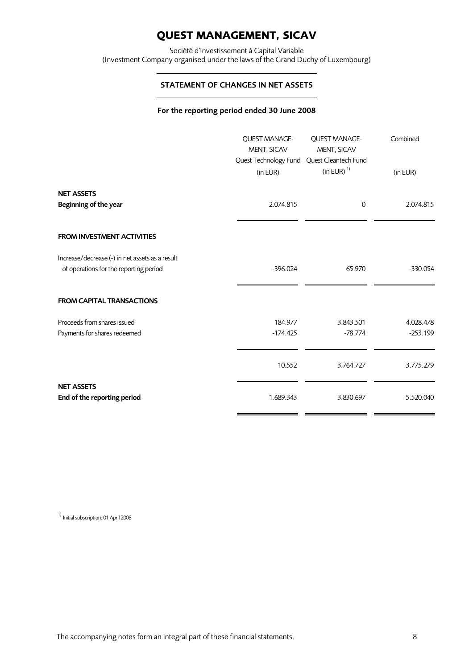Société d'Investissement à Capital Variable (Investment Company organised under the laws of the Grand Duchy of Luxembourg)

## STATEMENT OF CHANGES IN NET ASSETS

## For the reporting period ended 30 June 2008

|                                                                                           | QUEST MANAGE-<br>MENT, SICAV<br>Quest Technology Fund<br>(in EUR) | <b>OUEST MANAGE-</b><br>MENT, SICAV<br>Quest Cleantech Fund<br>$(in EUR)^ 1$ | Combined<br>(in EUR)    |
|-------------------------------------------------------------------------------------------|-------------------------------------------------------------------|------------------------------------------------------------------------------|-------------------------|
| <b>NET ASSETS</b><br>Beginning of the year                                                | 2.074.815                                                         | $\mathbf 0$                                                                  | 2.074.815               |
| <b>FROM INVESTMENT ACTIVITIES</b>                                                         |                                                                   |                                                                              |                         |
| Increase/decrease (-) in net assets as a result<br>of operations for the reporting period | $-396.024$                                                        | 65.970                                                                       | $-330.054$              |
| <b>FROM CAPITAL TRANSACTIONS</b>                                                          |                                                                   |                                                                              |                         |
| Proceeds from shares issued<br>Payments for shares redeemed                               | 184.977<br>$-174.425$                                             | 3.843.501<br>$-78.774$                                                       | 4.028.478<br>$-253.199$ |
|                                                                                           | 10.552                                                            | 3.764.727                                                                    | 3.775.279               |
| <b>NET ASSETS</b><br>End of the reporting period                                          | 1.689.343                                                         | 3.830.697                                                                    | 5.520.040               |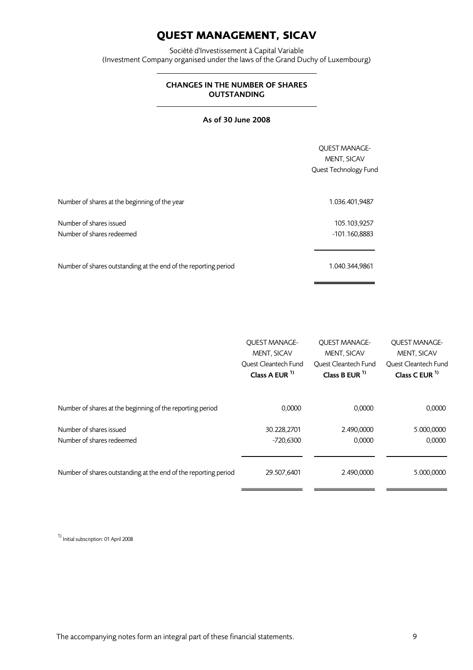Société d'Investissement à Capital Variable (Investment Company organised under the laws of the Grand Duchy of Luxembourg)

## CHANGES IN THE NUMBER OF SHARES OUTSTANDING

# As of 30 June 2008

|                                                                 | <b>OUEST MANAGE-</b><br>MENT, SICAV<br>Quest Technology Fund |
|-----------------------------------------------------------------|--------------------------------------------------------------|
| Number of shares at the beginning of the year                   | 1.036.401,9487                                               |
| Number of shares issued<br>Number of shares redeemed            | 105.103,9257<br>-101.160,8883                                |
| Number of shares outstanding at the end of the reporting period | 1.040.344,9861                                               |

|                                                                 | <b>QUEST MANAGE-</b> | <b>OUEST MANAGE-</b> | <b>OUEST MANAGE-</b> |
|-----------------------------------------------------------------|----------------------|----------------------|----------------------|
|                                                                 | MENT, SICAV          | MENT, SICAV          | MENT, SICAV          |
|                                                                 | Ouest Cleantech Fund | Ouest Cleantech Fund | Ouest Cleantech Fund |
|                                                                 | Class A EUR $1$      | Class B EUR $1$      | Class C EUR $1$      |
| Number of shares at the beginning of the reporting period       | 0,0000               | 0,0000               | 0,0000               |
| Number of shares issued                                         | 30.228,2701          | 2.490,0000           | 5.000,0000           |
| Number of shares redeemed                                       | -720.6300            | 0.0000               | 0,0000               |
| Number of shares outstanding at the end of the reporting period | 29.507,6401          | 2.490,0000           | 5.000,0000           |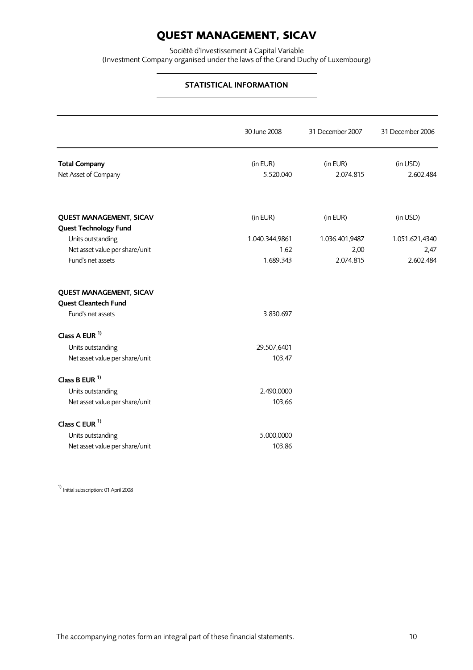Société d'Investissement à Capital Variable (Investment Company organised under the laws of the Grand Duchy of Luxembourg)

# STATISTICAL INFORMATION

|                                | 30 June 2008   | 31 December 2007 | 31 December 2006 |
|--------------------------------|----------------|------------------|------------------|
| <b>Total Company</b>           | (in EUR)       | (in EUR)         | (in USD)         |
| Net Asset of Company           | 5.520.040      | 2.074.815        | 2.602.484        |
| <b>QUEST MANAGEMENT, SICAV</b> | (in EUR)       | (in EUR)         | (in USD)         |
| <b>Quest Technology Fund</b>   |                |                  |                  |
| Units outstanding              | 1.040.344,9861 | 1.036.401,9487   | 1.051.621,4340   |
| Net asset value per share/unit | 1.62           | 2,00             | 2,47             |
| Fund's net assets              | 1.689.343      | 2.074.815        | 2.602.484        |
| <b>QUEST MANAGEMENT, SICAV</b> |                |                  |                  |
| Quest Cleantech Fund           |                |                  |                  |
| Fund's net assets              | 3.830.697      |                  |                  |
| Class A EUR <sup>1)</sup>      |                |                  |                  |
| Units outstanding              | 29.507,6401    |                  |                  |
| Net asset value per share/unit | 103,47         |                  |                  |
| Class B EUR <sup>1)</sup>      |                |                  |                  |
| Units outstanding              | 2.490,0000     |                  |                  |
| Net asset value per share/unit | 103,66         |                  |                  |
| Class C EUR <sup>1)</sup>      |                |                  |                  |
| Units outstanding              | 5.000,0000     |                  |                  |
| Net asset value per share/unit | 103,86         |                  |                  |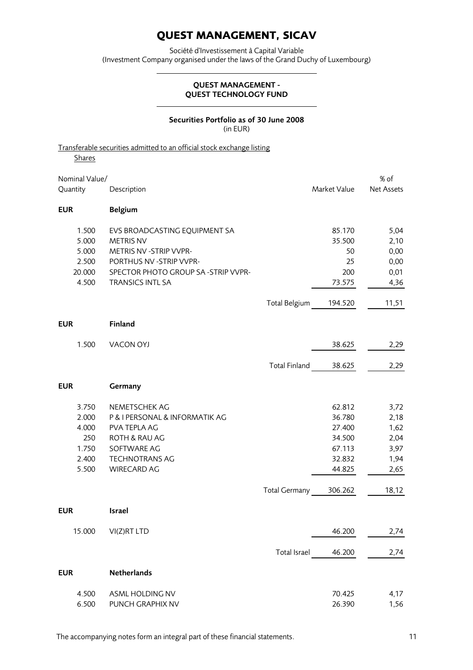Société d'Investissement à Capital Variable (Investment Company organised under the laws of the Grand Duchy of Luxembourg)

### QUEST MANAGEMENT - QUEST TECHNOLOGY FUND

### Securities Portfolio as of 30 June 2008 (in EUR)

## Transferable securities admitted to an official stock exchange listing

| <b>Shares</b>  |                                    |                      |              |            |
|----------------|------------------------------------|----------------------|--------------|------------|
| Nominal Value/ |                                    |                      |              | % of       |
| Quantity       | Description                        |                      | Market Value | Net Assets |
| <b>EUR</b>     | <b>Belgium</b>                     |                      |              |            |
| 1.500          | EVS BROADCASTING EQUIPMENT SA      |                      | 85.170       | 5,04       |
| 5.000          | <b>METRIS NV</b>                   |                      | 35.500       | 2,10       |
| 5.000          | METRIS NV - STRIP VVPR-            |                      | 50           | 0,00       |
| 2.500          | PORTHUS NV - STRIP VVPR-           |                      | 25           | 0,00       |
| 20.000         | SPECTOR PHOTO GROUP SA-STRIP VVPR- |                      | 200          | 0,01       |
| 4.500          | <b>TRANSICS INTL SA</b>            |                      | 73.575       | 4,36       |
|                |                                    | Total Belgium        | 194.520      | 11,51      |
| <b>EUR</b>     | Finland                            |                      |              |            |
| 1.500          | <b>VACON OYJ</b>                   |                      | 38.625       | 2,29       |
|                |                                    | <b>Total Finland</b> | 38.625       | 2,29       |
| <b>EUR</b>     | Germany                            |                      |              |            |
| 3.750          | NEMETSCHEK AG                      |                      | 62.812       | 3,72       |
| 2.000          | P & I PERSONAL & INFORMATIK AG     |                      | 36.780       | 2,18       |
| 4.000          | PVA TEPLA AG                       |                      | 27.400       | 1,62       |
| 250            | ROTH & RAU AG                      |                      | 34.500       | 2,04       |
| 1.750          | SOFTWARE AG                        |                      | 67.113       | 3,97       |
| 2.400<br>5.500 | <b>TECHNOTRANS AG</b>              |                      | 32.832       | 1,94       |
|                | <b>WIRECARD AG</b>                 |                      | 44.825       | 2,65       |
|                |                                    | <b>Total Germany</b> | 306.262      | 18,12      |
| <b>EUR</b>     | <b>Israel</b>                      |                      |              |            |
| 15.000         | VI(Z)RT LTD                        |                      | 46.200       | 2,74       |
|                |                                    | Total Israel         | 46.200       | 2,74       |
| <b>EUR</b>     | Netherlands                        |                      |              |            |
| 4.500          | ASML HOLDING NV                    |                      | 70.425       | 4,17       |
| 6.500          | PUNCH GRAPHIX NV                   |                      | 26.390       | 1,56       |

The accompanying notes form an integral part of these financial statements. The accompanying notes form an integral part of these financial statements.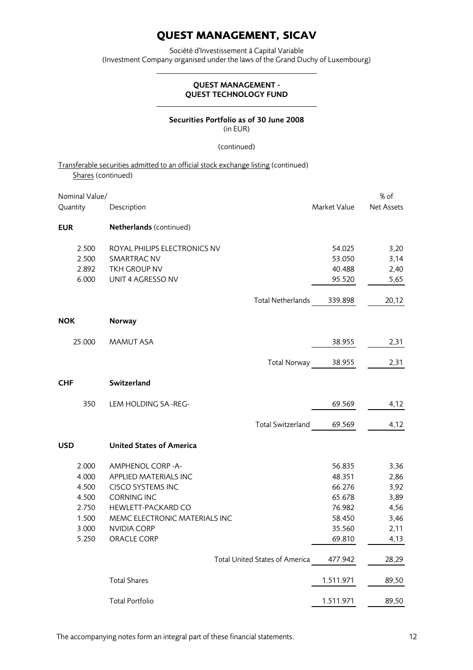Société d'Investissement à Capital Variable (Investment Company organised under the laws of the Grand Duchy of Luxembourg)

## QUEST MANAGEMENT - QUEST TECHNOLOGY FUND

### Securities Portfolio as of 30 June 2008 (in EUR)

#### (continued)

## Transferable securities admitted to an official stock exchange listing (continued) Shares (continued)

| Nominal Value/ |                                 |                   |              | % of       |
|----------------|---------------------------------|-------------------|--------------|------------|
| Quantity       | Description                     |                   | Market Value | Net Assets |
| <b>EUR</b>     | Netherlands (continued)         |                   |              |            |
| 2.500          | ROYAL PHILIPS ELECTRONICS NV    |                   | 54.025       | 3,20       |
| 2.500          | SMARTRAC NV                     |                   | 53.050       | 3,14       |
| 2.892          | TKH GROUP NV                    |                   | 40.488       | 2,40       |
| 6.000          | UNIT 4 AGRESSO NV               |                   | 95.520       | 5,65       |
|                |                                 | Total Netherlands | 339.898      | 20,12      |
| <b>NOK</b>     | <b>Norway</b>                   |                   |              |            |
| 25.000         | <b>MAMUT ASA</b>                |                   | 38.955       | 2,31       |
|                |                                 | Total Norway      | 38.955       | 2,31       |
|                |                                 |                   |              |            |
| <b>CHF</b>     | Switzerland                     |                   |              |            |
| 350            | LEM HOLDING SA-REG-             |                   | 69.569       | 4,12       |
|                |                                 | Total Switzerland | 69.569       | 4,12       |
| <b>USD</b>     | <b>United States of America</b> |                   |              |            |
| 2.000          | AMPHENOL CORP-A-                |                   | 56.835       | 3,36       |
| 4.000          | APPLIED MATERIALS INC           |                   | 48.351       | 2,86       |
| 4.500          | <b>CISCO SYSTEMS INC</b>        |                   | 66.276       | 3,92       |
| 4.500          | <b>CORNING INC</b>              |                   | 65.678       | 3,89       |
| 2.750          | <b>HEWLETT-PACKARD CO</b>       |                   | 76.982       | 4,56       |
| 1.500          | MEMC ELECTRONIC MATERIALS INC   |                   | 58.450       | 3,46       |
| 3.000          | <b>NVIDIA CORP</b>              |                   | 35.560       | 2,11       |
| 5.250          | <b>ORACLE CORP</b>              |                   | 69.810       | 4,13       |
|                | Total United States of America  |                   | 477.942      | 28,29      |
|                | <b>Total Shares</b>             |                   | 1.511.971    | 89,50      |
|                | <b>Total Portfolio</b>          |                   | 1.511.971    | 89,50      |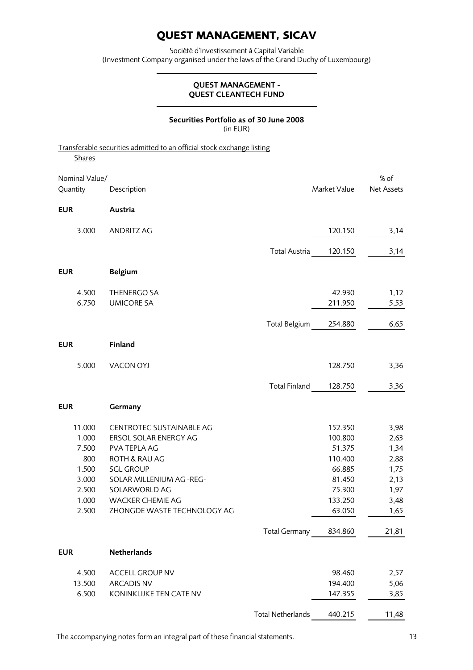Société d'Investissement à Capital Variable (Investment Company organised under the laws of the Grand Duchy of Luxembourg)

### QUEST MANAGEMENT - QUEST CLEANTECH FUND

### Securities Portfolio as of 30 June 2008 (in EUR)

|                | Transferable securities admitted to an official stock exchange listing |                          |              |            |
|----------------|------------------------------------------------------------------------|--------------------------|--------------|------------|
| <b>Shares</b>  |                                                                        |                          |              |            |
| Nominal Value/ |                                                                        |                          |              | % of       |
| Quantity       | Description                                                            |                          | Market Value | Net Assets |
| <b>EUR</b>     | Austria                                                                |                          |              |            |
| 3.000          | <b>ANDRITZ AG</b>                                                      |                          | 120.150      | 3,14       |
|                |                                                                        | Total Austria            | 120.150      | 3,14       |
| <b>EUR</b>     | <b>Belgium</b>                                                         |                          |              |            |
| 4.500          | THENERGO SA                                                            |                          | 42.930       | 1,12       |
| 6.750          | <b>UMICORE SA</b>                                                      |                          | 211.950      | 5,53       |
|                |                                                                        | <b>Total Belgium</b>     | 254.880      | 6,65       |
| <b>EUR</b>     | Finland                                                                |                          |              |            |
| 5.000          | <b>VACON OYJ</b>                                                       |                          | 128.750      | 3,36       |
|                |                                                                        | <b>Total Finland</b>     | 128.750      | 3,36       |
| <b>EUR</b>     | Germany                                                                |                          |              |            |
| 11.000         | CENTROTEC SUSTAINABLE AG                                               |                          | 152.350      | 3,98       |
| 1.000          | ERSOL SOLAR ENERGY AG                                                  |                          | 100.800      | 2,63       |
| 7.500          | PVA TEPLA AG                                                           |                          | 51.375       | 1,34       |
| 800            | ROTH & RAU AG                                                          |                          | 110.400      | 2,88       |
| 1.500          | <b>SGL GROUP</b>                                                       |                          | 66.885       | 1,75       |
| 3.000          | SOLAR MILLENIUM AG -REG-                                               |                          | 81.450       | 2,13       |
| 2.500          | SOLARWORLD AG                                                          |                          | 75.300       | 1,97       |
| 1.000          | <b>WACKER CHEMIE AG</b>                                                |                          | 133.250      | 3,48       |
| 2.500          | ZHONGDE WASTE TECHNOLOGY AG                                            |                          | 63.050       | 1,65       |
|                |                                                                        | Total Germany            | 834.860      | 21,81      |
| <b>EUR</b>     | Netherlands                                                            |                          |              |            |
| 4.500          | <b>ACCELL GROUP NV</b>                                                 |                          | 98.460       | 2,57       |
| 13.500         | <b>ARCADIS NV</b>                                                      |                          | 194.400      | 5,06       |
| 6.500          | KONINKLIJKE TEN CATE NV                                                |                          | 147.355      | 3,85       |
|                |                                                                        | <b>Total Netherlands</b> | 440.215      | 11,48      |

The accompanying notes form an integral part of these financial statements. 13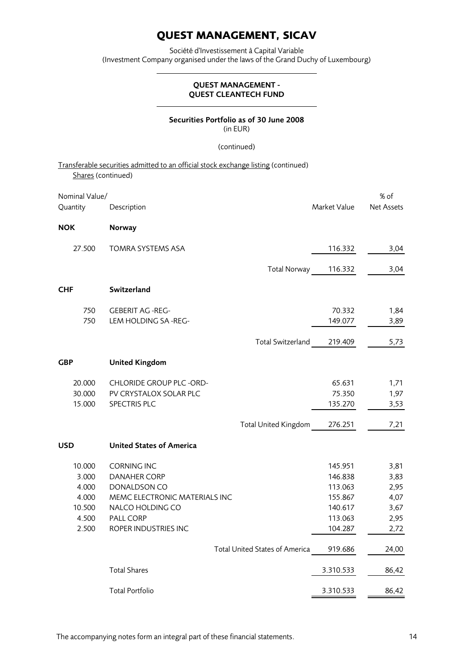Société d'Investissement à Capital Variable (Investment Company organised under the laws of the Grand Duchy of Luxembourg)

## QUEST MANAGEMENT - QUEST CLEANTECH FUND

### Securities Portfolio as of 30 June 2008 (in EUR)

### (continued)

Transferable securities admitted to an official stock exchange listing (continued) Shares (continued)

| Nominal Value/<br>Quantity | Description                                       | Market Value       | % of<br><b>Net Assets</b> |
|----------------------------|---------------------------------------------------|--------------------|---------------------------|
| <b>NOK</b>                 | <b>Norway</b>                                     |                    |                           |
| 27.500                     | <b>TOMRA SYSTEMS ASA</b>                          | 116.332            | 3,04                      |
|                            | Total Norway                                      | 116.332            | 3,04                      |
| <b>CHF</b>                 | Switzerland                                       |                    |                           |
| 750                        | <b>GEBERIT AG -REG-</b>                           | 70.332             | 1,84                      |
| 750                        | LEM HOLDING SA-REG-                               | 149.077            | 3,89                      |
|                            | <b>Total Switzerland</b>                          | 219.409            | 5,73                      |
| GBP                        | <b>United Kingdom</b>                             |                    |                           |
| 20.000                     | CHLORIDE GROUP PLC -ORD-                          | 65.631             | 1,71                      |
| 30.000                     | PV CRYSTALOX SOLAR PLC                            | 75.350             | 1,97                      |
| 15.000                     | SPECTRIS PLC                                      | 135.270            | 3,53                      |
|                            | Total United Kingdom                              | 276.251            | 7,21                      |
| <b>USD</b>                 | <b>United States of America</b>                   |                    |                           |
| 10.000                     | <b>CORNING INC</b>                                | 145.951            | 3,81                      |
| 3.000                      | <b>DANAHER CORP</b>                               | 146.838            | 3,83                      |
| 4.000                      | DONALDSON CO                                      | 113.063            | 2,95                      |
| 4.000<br>10.500            | MEMC ELECTRONIC MATERIALS INC<br>NALCO HOLDING CO | 155.867<br>140.617 | 4,07<br>3,67              |
| 4.500                      | PALL CORP                                         | 113.063            | 2,95                      |
| 2.500                      | ROPER INDUSTRIES INC                              | 104.287            | 2,72                      |
|                            | Total United States of America                    | 919.686            | 24,00                     |
|                            | <b>Total Shares</b>                               | 3.310.533          | 86,42                     |
|                            | <b>Total Portfolio</b>                            | 3.310.533          | 86,42                     |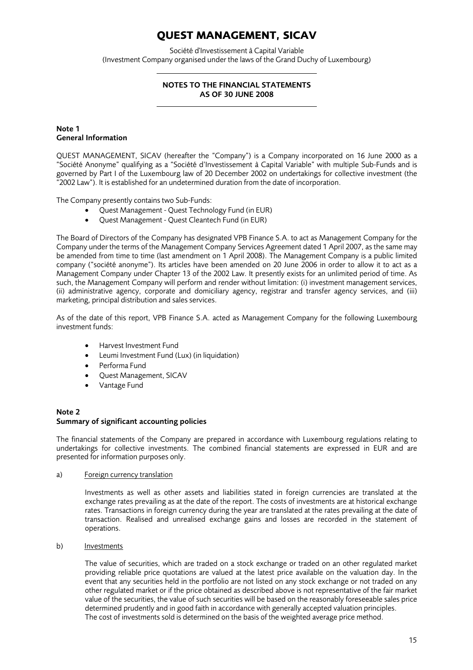Société d'Investissement à Capital Variable (Investment Company organised under the laws of the Grand Duchy of Luxembourg)

## NOTES TO THE FINANCIAL STATEMENTS AS OF 30 JUNE 2008

### Note 1 General Information

QUEST MANAGEMENT, SICAV (hereafter the "Company") is a Company incorporated on 16 June 2000 as a "Société Anonyme" qualifying as a "Société d'Investissement à Capital Variable" with multiple Sub-Funds and is governed by Part I of the Luxembourg law of 20 December 2002 on undertakings for collective investment (the "2002 Law"). It is established for an undetermined duration from the date of incorporation.

The Company presently contains two Sub-Funds:

- Quest Management Quest Technology Fund (in EUR)
- Quest Management Quest Cleantech Fund (in EUR)

The Board of Directors of the Company has designated VPB Finance S.A. to act as Management Company for the Company under the terms of the Management Company Services Agreement dated 1 April 2007, as the same may be amended from time to time (last amendment on 1 April 2008). The Management Company is a public limited company ("société anonyme"). Its articles have been amended on 20 June 2006 in order to allow it to act as a Management Company under Chapter 13 of the 2002 Law. It presently exists for an unlimited period of time. As such, the Management Company will perform and render without limitation: (i) investment management services, (ii) administrative agency, corporate and domiciliary agency, registrar and transfer agency services, and (iii) marketing, principal distribution and sales services.

As of the date of this report, VPB Finance S.A. acted as Management Company for the following Luxembourg investment funds:

- Harvest Investment Fund
- Leumi Investment Fund (Lux) (in liquidation)
- Performa Fund
- Quest Management, SICAV
- Vantage Fund

#### Note 2 Summary of significant accounting policies

The financial statements of the Company are prepared in accordance with Luxembourg regulations relating to undertakings for collective investments. The combined financial statements are expressed in EUR and are presented for information purposes only.

a) Foreign currency translation

Investments as well as other assets and liabilities stated in foreign currencies are translated at the exchange rates prevailing as at the date of the report. The costs of investments are at historical exchange rates. Transactions in foreign currency during the year are translated at the rates prevailing at the date of transaction. Realised and unrealised exchange gains and losses are recorded in the statement of operations.

b) Investments

The value of securities, which are traded on a stock exchange or traded on an other regulated market providing reliable price quotations are valued at the latest price available on the valuation day. In the event that any securities held in the portfolio are not listed on any stock exchange or not traded on any other regulated market or if the price obtained as described above is not representative of the fair market value of the securities, the value of such securities will be based on the reasonably foreseeable sales price determined prudently and in good faith in accordance with generally accepted valuation principles. The cost of investments sold is determined on the basis of the weighted average price method.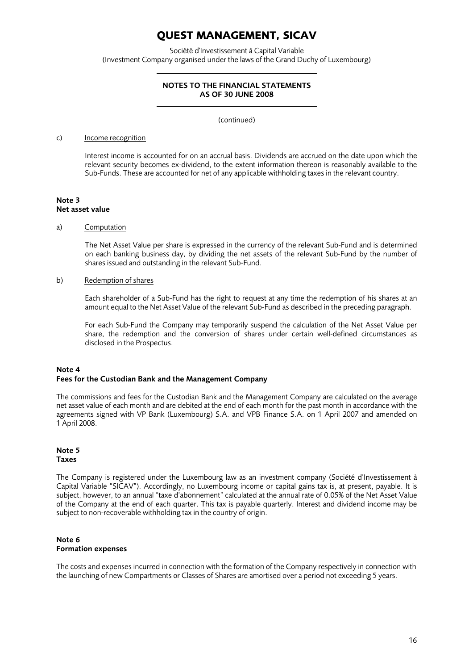Société d'Investissement à Capital Variable (Investment Company organised under the laws of the Grand Duchy of Luxembourg)

### NOTES TO THE FINANCIAL STATEMENTS AS OF 30 JUNE 2008

(continued)

#### c) Income recognition

Interest income is accounted for on an accrual basis. Dividends are accrued on the date upon which the relevant security becomes ex-dividend, to the extent information thereon is reasonably available to the Sub-Funds. These are accounted for net of any applicable withholding taxes in the relevant country.

#### Note 3 Net asset value

### a) Computation

The Net Asset Value per share is expressed in the currency of the relevant Sub-Fund and is determined on each banking business day, by dividing the net assets of the relevant Sub-Fund by the number of shares issued and outstanding in the relevant Sub-Fund.

### b) Redemption of shares

Each shareholder of a Sub-Fund has the right to request at any time the redemption of his shares at an amount equal to the Net Asset Value of the relevant Sub-Fund as described in the preceding paragraph.

For each Sub-Fund the Company may temporarily suspend the calculation of the Net Asset Value per share, the redemption and the conversion of shares under certain well-defined circumstances as disclosed in the Prospectus.

### Note 4 Fees for the Custodian Bank and the Management Company

The commissions and fees for the Custodian Bank and the Management Company are calculated on the average net asset value of each month and are debited at the end of each month for the past month in accordance with the agreements signed with VP Bank (Luxembourg) S.A. and VPB Finance S.A. on 1 April 2007 and amended on 1 April 2008.

### Note 5 Taxes

The Company is registered under the Luxembourg law as an investment company (Société d'Investissement à Capital Variable "SICAV"). Accordingly, no Luxembourg income or capital gains tax is, at present, payable. It is subject, however, to an annual "taxe d'abonnement" calculated at the annual rate of 0.05% of the Net Asset Value of the Company at the end of each quarter. This tax is payable quarterly. Interest and dividend income may be subject to non-recoverable withholding tax in the country of origin.

### Note 6 Formation expenses

The costs and expenses incurred in connection with the formation of the Company respectively in connection with the launching of new Compartments or Classes of Shares are amortised over a period not exceeding 5 years.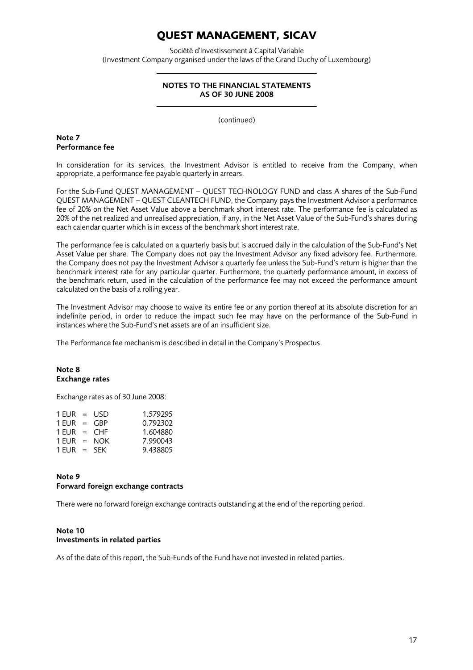Société d'Investissement à Capital Variable (Investment Company organised under the laws of the Grand Duchy of Luxembourg)

### NOTES TO THE FINANCIAL STATEMENTS AS OF 30 JUNE 2008

(continued)

## Note 7 Performance fee

In consideration for its services, the Investment Advisor is entitled to receive from the Company, when appropriate, a performance fee payable quarterly in arrears.

For the Sub-Fund QUEST MANAGEMENT – QUEST TECHNOLOGY FUND and class A shares of the Sub-Fund QUEST MANAGEMENT – QUEST CLEANTECH FUND, the Company pays the Investment Advisor a performance fee of 20% on the Net Asset Value above a benchmark short interest rate. The performance fee is calculated as 20% of the net realized and unrealised appreciation, if any, in the Net Asset Value of the Sub-Fund's shares during each calendar quarter which is in excess of the benchmark short interest rate.

The performance fee is calculated on a quarterly basis but is accrued daily in the calculation of the Sub-Fund's Net Asset Value per share. The Company does not pay the Investment Advisor any fixed advisory fee. Furthermore, the Company does not pay the Investment Advisor a quarterly fee unless the Sub-Fund's return is higher than the benchmark interest rate for any particular quarter. Furthermore, the quarterly performance amount, in excess of the benchmark return, used in the calculation of the performance fee may not exceed the performance amount calculated on the basis of a rolling year.

The Investment Advisor may choose to waive its entire fee or any portion thereof at its absolute discretion for an indefinite period, in order to reduce the impact such fee may have on the performance of the Sub-Fund in instances where the Sub-Fund's net assets are of an insufficient size.

The Performance fee mechanism is described in detail in the Company's Prospectus.

### Note 8 Exchange rates

Exchange rates as of 30 June 2008:

| $1$ EUR = USD |  | 1.579295 |
|---------------|--|----------|
| 1 FUR = $GBP$ |  | 0.792302 |
| $1$ FUR = CHF |  | 1.604880 |
| $1$ FUR = NOK |  | 7.990043 |
| $1$ FUR = SFK |  | 9.438805 |

### Note 9 Forward foreign exchange contracts

There were no forward foreign exchange contracts outstanding at the end of the reporting period.

### Note 10 Investments in related parties

As of the date of this report, the Sub-Funds of the Fund have not invested in related parties.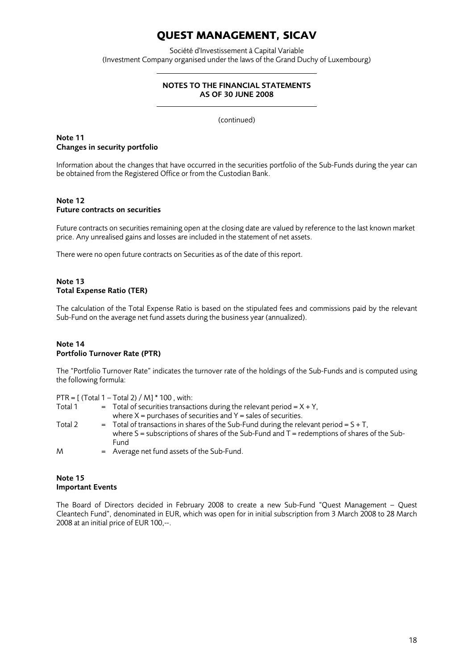Société d'Investissement à Capital Variable (Investment Company organised under the laws of the Grand Duchy of Luxembourg)

### NOTES TO THE FINANCIAL STATEMENTS AS OF 30 JUNE 2008

(continued)

## Note 11 Changes in security portfolio

Information about the changes that have occurred in the securities portfolio of the Sub-Funds during the year can be obtained from the Registered Office or from the Custodian Bank.

## Note 12 Future contracts on securities

Future contracts on securities remaining open at the closing date are valued by reference to the last known market price. Any unrealised gains and losses are included in the statement of net assets.

There were no open future contracts on Securities as of the date of this report.

## Note 13 Total Expense Ratio (TER)

The calculation of the Total Expense Ratio is based on the stipulated fees and commissions paid by the relevant Sub-Fund on the average net fund assets during the business year (annualized).

### Note 14 Portfolio Turnover Rate (PTR)

The "Portfolio Turnover Rate" indicates the turnover rate of the holdings of the Sub-Funds and is computed using the following formula:

PTR =  $[$  (Total 1 – Total 2) / M $]$  \* 100, with:

| Total 1 | $=$ Total of securities transactions during the relevant period = $X + Y$ ,                     |
|---------|-------------------------------------------------------------------------------------------------|
|         | where $X =$ purchases of securities and $Y =$ sales of securities.                              |
| Total 2 | $=$ Total of transactions in shares of the Sub-Fund during the relevant period = $S + T$ ,      |
|         | where $S =$ subscriptions of shares of the Sub-Fund and $T =$ redemptions of shares of the Sub- |
|         | Fund                                                                                            |
| M       | $=$ Average net fund assets of the Sub-Fund.                                                    |

## Note 15 Important Events

The Board of Directors decided in February 2008 to create a new Sub-Fund "Quest Management – Quest Cleantech Fund", denominated in EUR, which was open for in initial subscription from 3 March 2008 to 28 March 2008 at an initial price of EUR 100,--.